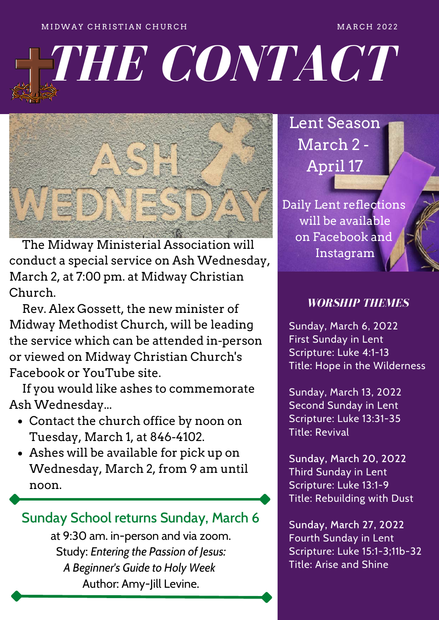#### M I D WAY CHRISTIAN CHURCH AND THE RESERVE TO A NARCH 2022

# *THE CONTACT*



 The Midway Ministerial Association will conduct a special service on Ash Wednesday, March 2, at 7:00 pm. at Midway Christian Church.

 Rev. Alex Gossett, the new minister of Midway Methodist Church, will be leading the service which can be attended in-person or viewed on Midway Christian Church's Facebook or YouTube site.

 If you would like ashes to commemorate Ash Wednesday...

- Contact the church office by noon on Tuesday, March 1, at 846-4102.
- Ashes will be available for pick up on Wednesday, March 2, from 9 am until noon.

## Sunday School returns Sunday, March 6

at 9:30 am. in-person and via zoom. Study: *Entering the Passion of Jesus: A Beginner's Guide to Holy Week* Author: Amy-Jill Levine.

Lent Season March 2 - April 17

Daily Lent reflections will be available on Facebook and Instagram

#### *WORSHIP THEMES*

Sunday, March 6, 2022 First Sunday in Lent Scripture: Luke 4:1-13 Title: Hope in the Wilderness

Sunday, March 13, 2022 Second Sunday in Lent Scripture: Luke 13:31-35 Title: Revival

Sunday, March 20, 2022 Third Sunday in Lent Scripture: Luke 13:1-9 Title: Rebuilding with Dust

Sunday, March 27, 2022 Fourth Sunday in Lent Scripture: Luke 15:1-3;11b-32 Title: Arise and Shine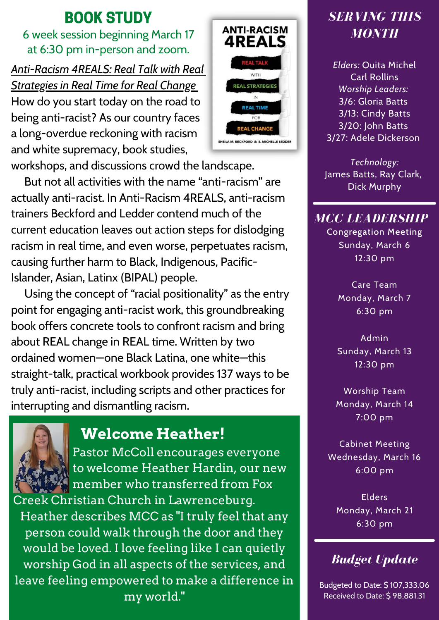## BOOK STUDY

6 week session beginning March 17 at 6:30 pm in-person and zoom.

*Anti-Racism 4REALS: Real Talk with Real Strategies in Real Time for Real Change* How do you start today on the road to being anti-racist? As our country faces a long-overdue reckoning with racism and white supremacy, book studies, workshops, and discussions crowd the landscape.

 But not all activities with the name "anti-racism" are actually anti-racist. In Anti-Racism 4REALS, anti-racism trainers Beckford and Ledder contend much of the current education leaves out action steps for dislodging racism in real time, and even worse, perpetuates racism, causing further harm to Black, Indigenous, Pacific-Islander, Asian, Latinx (BIPAL) people.

 Using the concept of "racial positionality" as the entry point for engaging anti-racist work, this groundbreaking book offers concrete tools to confront racism and bring about REAL change in REAL time. Written by two ordained women—one Black Latina, one white—this straight-talk, practical workbook provides 137 ways to be truly anti-racist, including scripts and other practices for interrupting and dismantling racism.



## **Welcome Heather!**

 Pastor McColl encourages everyone to welcome Heather Hardin, our new member who transferred from Fox Creek Christian Church in Lawrenceburg.

Heather describes MCC as "I truly feel that any person could walk through the door and they would be loved. I love feeling like I can quietly worship God in all aspects of the services, and leave feeling empowered to make a difference in my world."



## *SERVING THIS MONTH*

*Elders:* Ouita Michel Carl Rollins *Worship Leaders:* 3/6: Gloria Batts 3/13: Cindy Batts 3/20: John Batts 3/27: Adele Dickerson

*Technology:* James Batts, Ray Clark, Dick Murphy

## *MCC LEADERSHIP*

Congregation Meeting Sunday, March 6 12:30 pm

> Care Team Monday, March 7 6:30 pm

Admin Sunday, March 13 12:30 pm

Worship Team Monday, March 14 7:00 pm

Cabinet Meeting Wednesday, March 16 6:00 pm

> Elders Monday, March 21 6:30 pm

## *Budget Update*

Budgeted to Date: \$ 107,333.06 Received to Date: \$ 98,881.31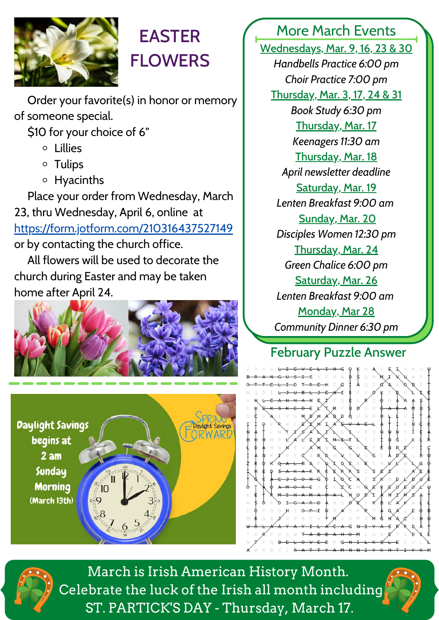

# EASTER **FLOWERS**

 Order your favorite(s) in honor or memory of someone special.

\$10 for your choice of 6"

- Lillies
- Tulips
- Hyacinths

 Place your order from Wednesday, March 23, thru Wednesday, April 6, online at <https://form.jotform.com/210316437527149> or by contacting the church office.

 All flowers will be used to decorate the church during Easter and may be taken home after April 24.





More March Events

Wednesdays, Mar. 9, 16, 23 & 30 *Handbells Practice 6:00 pm Choir Practice 7:00 pm* Thursday, Mar. 3, 17, 24 & 31 *Book Study 6:30 pm* Thursday, Mar. 17 *Keenagers 11:30 am* Thursday, Mar. 18 *April newsletter deadline* Saturday, Mar. 19 *Lenten Breakfast 9:00 am* Sunday, Mar. 20 *Disciples Women 12:30 pm* Thursday, Mar. 24 *Green Chalice 6:00 pm* Saturday, Mar. 26 *Lenten Breakfast 9:00 am* Monday, Mar 28 *Community Dinner 6:30 pm*

## February Puzzle Answer





March is Irish American History Month. Celebrate the luck of the Irish all month including ST. PARTICK'S DAY - Thursday, March 17.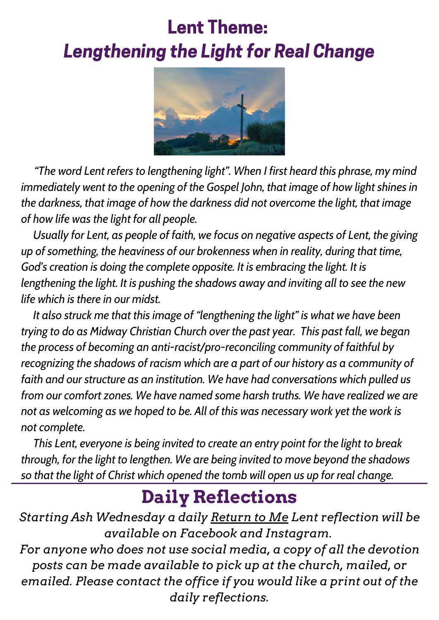# Lent Theme: Lengthening the Light for Real Change



 *"The word Lent refers to lengthening light". When I first heard this phrase, my mind immediately went to the opening of the Gospel John, that image of how light shines in the darkness, that image of how the darkness did not overcome the light, that image of how life was the light for all people.*

 *Usually for Lent, as people of faith, we focus on negative aspects of Lent, the giving up of something, the heaviness of our brokenness when in reality, during that time, God's creation is doing the complete opposite. It is embracing the light. It is lengthening the light. It is pushing the shadows away and inviting all to see the new life which is there in our midst.*

 *It also struck me that this image of "lengthening the light" is what we have been trying to do as Midway Christian Church over the past year. This past fall, we began the process of becoming an anti-racist/pro-reconciling community of faithful by recognizing the shadows of racism which are a part of our history as a community of faith and our structure as an institution. We have had conversations which pulled us from our comfort zones. We have named some harsh truths. We have realized we are not as welcoming as we hoped to be. All of this was necessary work yet the work is not complete.*

 *This Lent, everyone is being invited to create an entry point for the light to break through, for the light to lengthen. We are being invited to move beyond the shadows so that the light of Christ which opened the tomb will open us up for real change.*

## **Daily Reflections**

*Starting Ash Wednesday a daily Return to Me Lent reflection will be available on Facebook and Instagram.*

*For anyone who does not use social media, a copy of all the devotion posts can be made available to pick up at the church, mailed, or emailed. Please contact the office if you would like a print out of the daily reflections.*